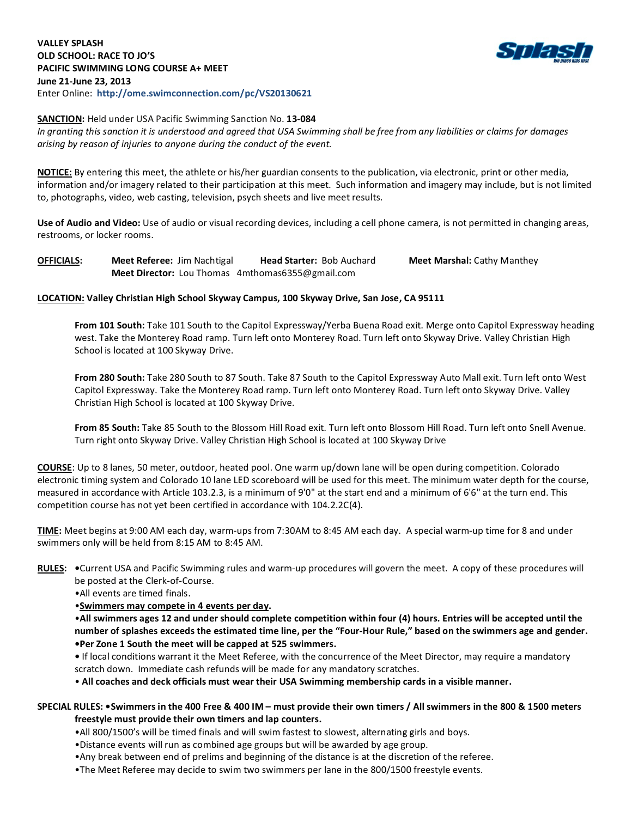## **VALLEY SPLASH OLD SCHOOL: RACE TO JO'S PACIFIC SWIMMING LONG COURSE A+ MEET June 21-June 23, 2013** Enter Online: **http://ome.swimconnection.com/pc/VS20130621**



## **SANCTION:** Held under USA Pacific Swimming Sanction No. **13-084**

*In granting this sanction it is understood and agreed that USA Swimming shall be free from any liabilities or claims for damages arising by reason of injuries to anyone during the conduct of the event.*

**NOTICE:** By entering this meet, the athlete or his/her guardian consents to the publication, via electronic, print or other media, information and/or imagery related to their participation at this meet. Such information and imagery may include, but is not limited to, photographs, video, web casting, television, psych sheets and live meet results.

**Use of Audio and Video:** Use of audio or visual recording devices, including a cell phone camera, is not permitted in changing areas, restrooms, or locker rooms.

**OFFICIALS: Meet Referee:** Jim Nachtigal **Head Starter:** Bob Auchard **Meet Marshal:** Cathy Manthey **Meet Director:** Lou Thomas 4mthomas6355@gmail.com

# **LOCATION: Valley Christian High School Skyway Campus, 100 Skyway Drive, San Jose, CA 95111**

**From 101 South:** Take 101 South to the Capitol Expressway/Yerba Buena Road exit. Merge onto Capitol Expressway heading west. Take the Monterey Road ramp. Turn left onto Monterey Road. Turn left onto Skyway Drive. Valley Christian High School is located at 100 Skyway Drive.

**From 280 South:** Take 280 South to 87 South. Take 87 South to the Capitol Expressway Auto Mall exit. Turn left onto West Capitol Expressway. Take the Monterey Road ramp. Turn left onto Monterey Road. Turn left onto Skyway Drive. Valley Christian High School is located at 100 Skyway Drive.

**From 85 South:** Take 85 South to the Blossom Hill Road exit. Turn left onto Blossom Hill Road. Turn left onto Snell Avenue. Turn right onto Skyway Drive. Valley Christian High School is located at 100 Skyway Drive

**COURSE**: Up to 8 lanes, 50 meter, outdoor, heated pool. One warm up/down lane will be open during competition. Colorado electronic timing system and Colorado 10 lane LED scoreboard will be used for this meet. The minimum water depth for the course, measured in accordance with Article 103.2.3, is a minimum of 9'0" at the start end and a minimum of 6'6" at the turn end. This competition course has not yet been certified in accordance with 104.2.2C(4).

**TIME:** Meet begins at 9:00 AM each day, warm-ups from 7:30AM to 8:45 AM each day. A special warm-up time for 8 and under swimmers only will be held from 8:15 AM to 8:45 AM.

**RULES: •**Current USA and Pacific Swimming rules and warm-up procedures will govern the meet. A copy of these procedures will be posted at the Clerk-of-Course.

•All events are timed finals.

•**Swimmers may compete in 4 events per day.**

•**All swimmers ages 12 and under should complete competition within four (4) hours. Entries will be accepted until the number of splashes exceeds the estimated time line, per the "Four-Hour Rule," based on the swimmers age and gender. •Per Zone 1 South the meet will be capped at 525 swimmers.**

**•** If local conditions warrant it the Meet Referee, with the concurrence of the Meet Director, may require a mandatory scratch down. Immediate cash refunds will be made for any mandatory scratches.

• **All coaches and deck officials must wear their USA Swimming membership cards in a visible manner.**

# **SPECIAL RULES: •Swimmers in the 400 Free & 400 IM – must provide their own timers / All swimmers in the 800 & 1500 meters freestyle must provide their own timers and lap counters.**

- •All 800/1500's will be timed finals and will swim fastest to slowest, alternating girls and boys.
- •Distance events will run as combined age groups but will be awarded by age group.
- •Any break between end of prelims and beginning of the distance is at the discretion of the referee.
- •The Meet Referee may decide to swim two swimmers per lane in the 800/1500 freestyle events.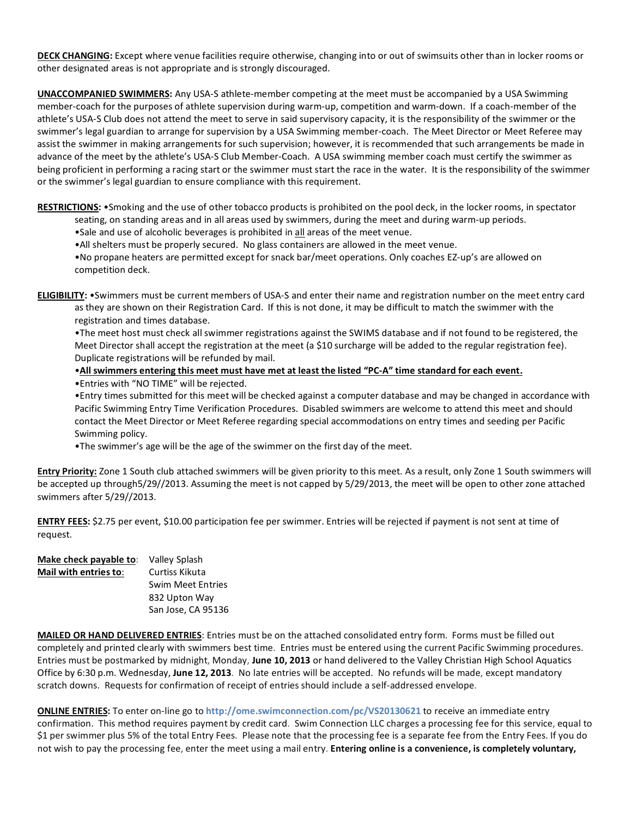**DECK CHANGING:** Except where venue facilities require otherwise, changing into or out of swimsuits other than in locker rooms or other designated areas is not appropriate and is strongly discouraged.

**UNACCOMPANIED SWIMMERS:** Any USA-S athlete-member competing at the meet must be accompanied by a USA Swimming member-coach for the purposes of athlete supervision during warm-up, competition and warm-down. If a coach-member of the athlete's USA-S Club does not attend the meet to serve in said supervisory capacity, it is the responsibility of the swimmer or the swimmer's legal guardian to arrange for supervision by a USA Swimming member-coach. The Meet Director or Meet Referee may assist the swimmer in making arrangements for such supervision; however, it is recommended that such arrangements be made in advance of the meet by the athlete's USA-S Club Member-Coach. A USA swimming member coach must certify the swimmer as being proficient in performing a racing start or the swimmer must start the race in the water. It is the responsibility of the swimmer or the swimmer's legal guardian to ensure compliance with this requirement.

**RESTRICTIONS:** •Smoking and the use of other tobacco products is prohibited on the pool deck, in the locker rooms, in spectator

- seating, on standing areas and in all areas used by swimmers, during the meet and during warm-up periods.
- •Sale and use of alcoholic beverages is prohibited in all areas of the meet venue.
- •All shelters must be properly secured. No glass containers are allowed in the meet venue.
- •No propane heaters are permitted except for snack bar/meet operations. Only coaches EZ-up's are allowed on competition deck.
- **ELIGIBILITY:** •Swimmers must be current members of USA-S and enter their name and registration number on the meet entry card as they are shown on their Registration Card. If this is not done, it may be difficult to match the swimmer with the registration and times database.

•The meet host must check all swimmer registrations against the SWIMS database and if not found to be registered, the Meet Director shall accept the registration at the meet (a \$10 surcharge will be added to the regular registration fee). Duplicate registrations will be refunded by mail.

#### •**All swimmers entering this meet must have met at least the listed "PC-A" time standard for each event.**

•Entries with "NO TIME" will be rejected.

•Entry times submitted for this meet will be checked against a computer database and may be changed in accordance with Pacific Swimming Entry Time Verification Procedures. Disabled swimmers are welcome to attend this meet and should contact the Meet Director or Meet Referee regarding special accommodations on entry times and seeding per Pacific Swimming policy.

•The swimmer's age will be the age of the swimmer on the first day of the meet.

**Entry Priority:** Zone 1 South club attached swimmers will be given priority to this meet. As a result, only Zone 1 South swimmers will be accepted up through5/29//2013. Assuming the meet is not capped by 5/29/2013, the meet will be open to other zone attached swimmers after 5/29//2013.

**ENTRY FEES:** \$2.75 per event, \$10.00 participation fee per swimmer. Entries will be rejected if payment is not sent at time of request.

| Make check payable to: | Valley Splash            |  |  |  |  |
|------------------------|--------------------------|--|--|--|--|
| Mail with entries to:  | Curtiss Kikuta           |  |  |  |  |
|                        | <b>Swim Meet Entries</b> |  |  |  |  |
|                        | 832 Upton Way            |  |  |  |  |
|                        | San Jose, CA 95136       |  |  |  |  |

**MAILED OR HAND DELIVERED ENTRIES**: Entries must be on the attached consolidated entry form. Forms must be filled out completely and printed clearly with swimmers best time. Entries must be entered using the current Pacific Swimming procedures. Entries must be postmarked by midnight, Monday, **June 10, 2013** or hand delivered to the Valley Christian High School Aquatics Office by 6:30 p.m. Wednesday, **June 12, 2013**. No late entries will be accepted. No refunds will be made, except mandatory scratch downs. Requests for confirmation of receipt of entries should include a self-addressed envelope.

**ONLINE ENTRIES:** To enter on-line go to **http://ome.swimconnection.com/pc/VS20130621** to receive an immediate entry confirmation. This method requires payment by credit card. Swim Connection LLC charges a processing fee for this service, equal to \$1 per swimmer plus 5% of the total Entry Fees. Please note that the processing fee is a separate fee from the Entry Fees. If you do not wish to pay the processing fee, enter the meet using a mail entry. **Entering online is a convenience, is completely voluntary,**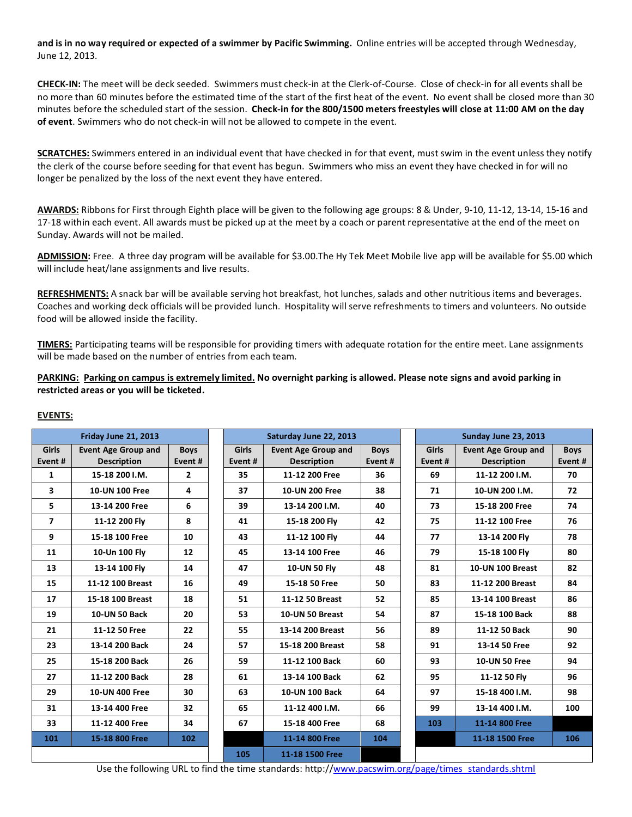**and is in no way required or expected of a swimmer by Pacific Swimming.** Online entries will be accepted through Wednesday, June 12, 2013.

**CHECK-IN:** The meet will be deck seeded. Swimmers must check-in at the Clerk-of-Course. Close of check-in for all events shall be no more than 60 minutes before the estimated time of the start of the first heat of the event. No event shall be closed more than 30 minutes before the scheduled start of the session. **Check-in for the 800/1500 meters freestyles will close at 11:00 AM on the day of event**. Swimmers who do not check-in will not be allowed to compete in the event.

**SCRATCHES:** Swimmers entered in an individual event that have checked in for that event, must swim in the event unless they notify the clerk of the course before seeding for that event has begun. Swimmers who miss an event they have checked in for will no longer be penalized by the loss of the next event they have entered.

**AWARDS:** Ribbons for First through Eighth place will be given to the following age groups: 8 & Under, 9-10, 11-12, 13-14, 15-16 and 17-18 within each event. All awards must be picked up at the meet by a coach or parent representative at the end of the meet on Sunday. Awards will not be mailed.

**ADMISSION:** Free. A three day program will be available for \$3.00.The Hy Tek Meet Mobile live app will be available for \$5.00 which will include heat/lane assignments and live results.

**REFRESHMENTS:** A snack bar will be available serving hot breakfast, hot lunches, salads and other nutritious items and beverages. Coaches and working deck officials will be provided lunch. Hospitality will serve refreshments to timers and volunteers. No outside food will be allowed inside the facility.

**TIMERS:** Participating teams will be responsible for providing timers with adequate rotation for the entire meet. Lane assignments will be made based on the number of entries from each team.

**PARKING: Parking on campus is extremely limited. No overnight parking is allowed. Please note signs and avoid parking in restricted areas or you will be ticketed.**

#### **EVENTS:**

| Friday June 21, 2013     |                                                  |                        |                         | Saturday June 22, 2013                           |                       | Sunday June 23, 2013    |                                                  |                        |  |
|--------------------------|--------------------------------------------------|------------------------|-------------------------|--------------------------------------------------|-----------------------|-------------------------|--------------------------------------------------|------------------------|--|
| Girls<br>Event #         | <b>Event Age Group and</b><br><b>Description</b> | <b>Boys</b><br>Event # | <b>Girls</b><br>Event # | <b>Event Age Group and</b><br><b>Description</b> | <b>Boys</b><br>Event# | <b>Girls</b><br>Event # | <b>Event Age Group and</b><br><b>Description</b> | <b>Boys</b><br>Event # |  |
| 1                        | 15-18 200 I.M.                                   | 2                      | 35                      | 11-12 200 Free                                   | 36                    | 69                      | 11-12 200 I.M.                                   | 70                     |  |
| 3                        | 10-UN 100 Free                                   | 4                      | 37                      | 10-UN 200 Free                                   | 38                    | 71                      | 10-UN 200 I.M.                                   | 72                     |  |
| 5                        | 13-14 200 Free                                   | 6                      | 39                      | 13-14 200 I.M.                                   | 40                    | 73                      | 15-18 200 Free                                   | 74                     |  |
| $\overline{\phantom{a}}$ | 11-12 200 Fly                                    | 8                      | 41                      | 15-18 200 Fly                                    | 42                    | 75                      | 11-12 100 Free                                   | 76                     |  |
| 9                        | 15-18 100 Free                                   | 10                     | 43                      | 11-12 100 Fly                                    | 44                    | 77                      | 13-14 200 Flv                                    | 78                     |  |
| 11                       | 10-Un 100 Fly                                    | 12                     | 45                      | 13-14 100 Free                                   | 46                    | 79                      | 15-18 100 Fly                                    | 80                     |  |
| 13                       | 13-14 100 Fly                                    | 14                     | 47                      | 10-UN 50 Fly                                     | 48                    | 81                      | <b>10-UN 100 Breast</b>                          | 82                     |  |
| 15                       | 11-12 100 Breast                                 | 16                     | 49                      | 15-18 50 Free                                    | 50                    | 83                      | 11-12 200 Breast                                 | 84                     |  |
| 17                       | 15-18 100 Breast                                 | 18                     | 51                      | 11-12 50 Breast                                  | 52                    | 85                      | 13-14 100 Breast                                 | 86                     |  |
| 19                       | <b>10-UN 50 Back</b>                             | 20                     | 53                      | 10-UN 50 Breast                                  | 54                    | 87                      | 15-18 100 Back                                   | 88                     |  |
| 21                       | 11-12 50 Free                                    | 22                     | 55                      | 13-14 200 Breast                                 | 56                    | 89                      | 11-12 50 Back                                    | 90                     |  |
| 23                       | 13-14 200 Back                                   | 24                     | 57                      | 15-18 200 Breast                                 | 58                    | 91                      | 13-14 50 Free                                    | 92                     |  |
| 25                       | 15-18 200 Back                                   | 26                     | 59                      | 11-12 100 Back                                   | 60                    | 93                      | <b>10-UN 50 Free</b>                             | 94                     |  |
| 27                       | 11-12 200 Back                                   | 28                     | 61                      | 13-14 100 Back                                   | 62                    | 95                      | 11-12 50 Fly                                     | 96                     |  |
| 29                       | 10-UN 400 Free                                   | 30                     | 63                      | 10-UN 100 Back                                   | 64                    | 97                      | 15-18 400 I.M.                                   | 98                     |  |
| 31                       | 13-14 400 Free                                   | 32                     | 65                      | 11-12 400 I.M.                                   | 66                    | 99                      | 13-14 400 I.M.                                   | 100                    |  |
| 33                       | 11-12 400 Free                                   | 34                     | 67                      | 15-18 400 Free                                   | 68                    | 103                     | 11-14 800 Free                                   |                        |  |
| 101                      | 15-18 800 Free                                   | 102                    |                         | 11-14 800 Free                                   | 104                   |                         | 11-18 1500 Free                                  | 106                    |  |
|                          |                                                  |                        | 105                     | 11-18 1500 Free                                  |                       |                         |                                                  |                        |  |

Use the following URL to find the time standards: http://www.pacswim.org/page/times\_standards.shtml